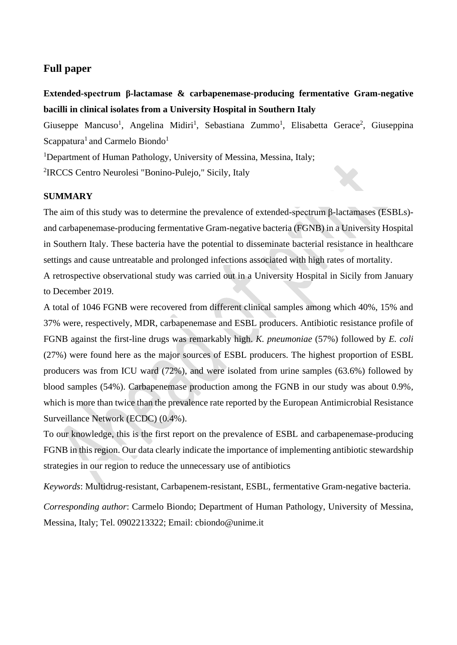# **Full paper**

**Extended-spectrum β-lactamase & carbapenemase-producing fermentative Gram-negative bacilli in clinical isolates from a University Hospital in Southern Italy**

Giuseppe Mancuso<sup>1</sup>, Angelina Midiri<sup>1</sup>, Sebastiana Zummo<sup>1</sup>, Elisabetta Gerace<sup>2</sup>, Giuseppina Scappatura<sup>1</sup> and Carmelo Biondo<sup>1</sup>

<sup>1</sup>Department of Human Pathology, University of Messina, Messina, Italy;

2 IRCCS Centro Neurolesi "Bonino-Pulejo," Sicily, Italy

## **SUMMARY**

The aim of this study was to determine the prevalence of extended-spectrum β-lactamases (ESBLs) and carbapenemase-producing fermentative Gram-negative bacteria (FGNB) in a University Hospital in Southern Italy. These bacteria have the potential to disseminate bacterial resistance in healthcare settings and cause untreatable and prolonged infections associated with high rates of mortality.

A retrospective observational study was carried out in a University Hospital in Sicily from January to December 2019.

A total of 1046 FGNB were recovered from different clinical samples among which 40%, 15% and 37% were, respectively, MDR, carbapenemase and ESBL producers. Antibiotic resistance profile of FGNB against the first-line drugs was remarkably high. *K. pneumoniae* (57%) followed by *E. coli* (27%) were found here as the major sources of ESBL producers. The highest proportion of ESBL producers was from ICU ward (72%), and were isolated from urine samples (63.6%) followed by blood samples (54%). Carbapenemase production among the FGNB in our study was about 0.9%, which is more than twice than the prevalence rate reported by the European Antimicrobial Resistance Surveillance Network (ECDC) (0.4%).

To our knowledge, this is the first report on the prevalence of ESBL and carbapenemase-producing FGNB in this region. Our data clearly indicate the importance of implementing antibiotic stewardship strategies in our region to reduce the unnecessary use of antibiotics

*Keywords*: Multidrug-resistant, Carbapenem-resistant, ESBL, fermentative Gram-negative bacteria.

*Corresponding author*: Carmelo Biondo; Department of Human Pathology, University of Messina, Messina, Italy; Tel. 0902213322; Email: cbiondo@unime.it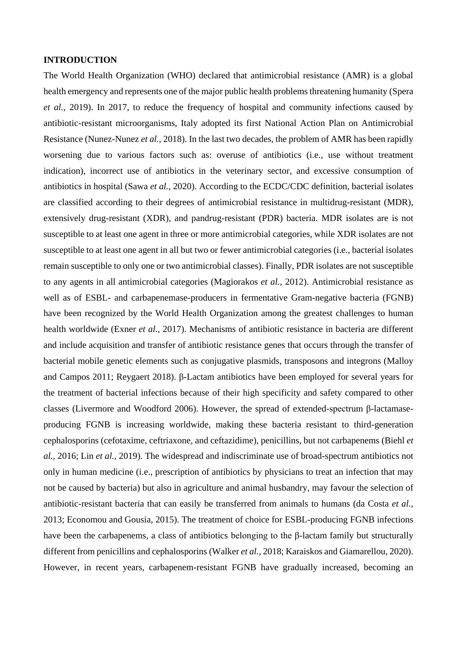## **INTRODUCTION**

The World Health Organization (WHO) declared that antimicrobial resistance (AMR) is a global health emergency and represents one of the major public health problems threatening humanity [\(Spera](#page-11-0) *[et al.,](#page-11-0)* 2019). In 2017, to reduce the frequency of hospital and community infections caused by antibiotic-resistant microorganisms, Italy adopted its first National Action Plan on Antimicrobial Resistance [\(Nunez-Nunez](#page-10-0) *et al.,* 2018). In the last two decades, the problem of AMR has been rapidly worsening due to various factors such as: overuse of antibiotics (i.e., use without treatment indication), incorrect use of antibiotics in the veterinary sector, and excessive consumption of antibiotics in hospital (Sawa *[et al.,](#page-10-1)* 2020). According to the ECDC/CDC definition, bacterial isolates are classified according to their degrees of [antimicrobial resistance](https://en.wikipedia.org/wiki/Antimicrobial_resistance) in multidrug-resistant (MDR), extensively drug-resistant (XDR), and pandrug-resistant (PDR) bacteria. MDR isolates are is not susceptible to at least one agent in three or more antimicrobial categories, while XDR isolates are not susceptible to at least one agent in all but two or fewer antimicrobial categories (i.e., bacterial isolates remain susceptible to only one or two antimicrobial classes). Finally, PDR isolates are not susceptible to any agents in all antimicrobial categories [\(Magiorakos](#page-10-2) *et al.,* 2012). Antimicrobial resistance as well as of ESBL- and carbapenemase-producers in fermentative Gram-negative bacteria (FGNB) have been recognized by the World Health Organization among the greatest challenges to human health worldwide [\(Exner](#page-9-0) *et al.,* 2017). Mechanisms of antibiotic resistance in bacteria are different and include acquisition and transfer of antibiotic resistance genes that occurs through the transfer of bacterial mobile genetic elements such as conjugative plasmids, transposons and integrons [\(Malloy](#page-10-3)  [and Campos 2011;](#page-10-3) [Reygaert 2018\)](#page-10-4). β-Lactam antibiotics have been employed for several years for the treatment of bacterial infections because of their high specificity and safety compared to other classes [\(Livermore and Woodford 2006\)](#page-9-1). However, the spread of extended-spectrum β-lactamaseproducing FGNB is increasing worldwide, making these bacteria resistant to third-generation cephalosporins (cefotaxime, ceftriaxone, and ceftazidime), penicillins, but not carbapenems [\(Biehl](#page-8-0) *et al.,* [2016;](#page-8-0) Lin *[et al.,](#page-9-2)* 2019). The widespread and indiscriminate use of broad-spectrum antibiotics not only in human medicine (i.e., prescription of antibiotics by physicians to treat an infection that may not be caused by bacteria) but also in agriculture and animal husbandry, may favour the selection of antibiotic-resistant bacteria that can easily be transferred from animals to humans [\(da Costa](#page-8-1) *et al.,*  [2013;](#page-8-1) [Economou and Gousia,](#page-8-2) 2015). The treatment of choice for ESBL-producing FGNB infections have been the carbapenems, a class of antibiotics belonging to the β-lactam family but structurally different from penicillins and cephalosporins [\(Walker](#page-11-1) *et al.,* 2018; [Karaiskos and Giamarellou,](#page-9-3) 2020). However, in recent years, carbapenem-resistant FGNB have gradually increased, becoming an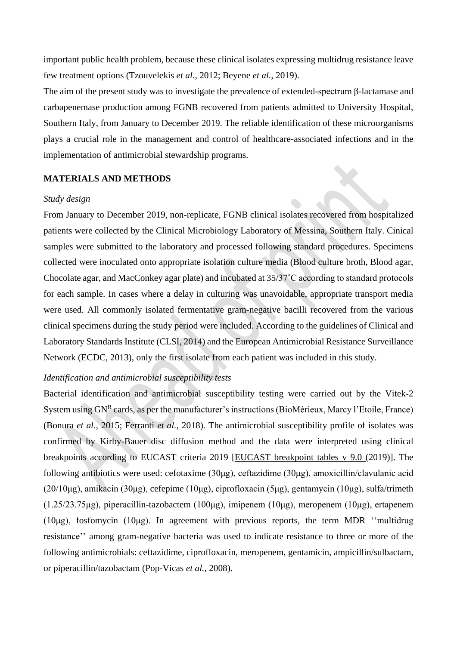important public health problem, because these clinical isolates expressing multidrug resistance leave few treatment options [\(Tzouvelekis](#page-11-2) *et al.,* 2012; [Beyene](#page-8-3) *et al.,* 2019).

The aim of the present study was to investigate the prevalence of extended-spectrum β-lactamase and carbapenemase production among FGNB recovered from patients admitted to University Hospital, Southern Italy, from January to December 2019. The reliable identification of these microorganisms plays a crucial role in the management and control of healthcare-associated infections and in the implementation of antimicrobial stewardship programs.

#### **MATERIALS AND METHODS**

#### *Study design*

From January to December 2019, non-replicate, FGNB clinical isolates recovered from hospitalized patients were collected by the Clinical Microbiology Laboratory of Messina, Southern Italy. Cinical samples were submitted to the laboratory and processed following standard procedures. Specimens collected were inoculated onto appropriate isolation culture media (Blood culture broth, Blood agar, Chocolate agar, and MacConkey agar plate) and incubated at 35/37˚C according to standard protocols for each sample. In cases where a delay in culturing was unavoidable, appropriate transport media were used. All commonly isolated fermentative gram-negative bacilli recovered from the various clinical specimens during the study period were included. According to the guidelines of Clinical and Laboratory Standards Institute (CLSI, 2014) and the European Antimicrobial Resistance Surveillance Network (ECDC, 2013), only the first isolate from each patient was included in this study.

# *Identification and antimicrobial susceptibility tests*

Bacterial identification and antimicrobial susceptibility testing were carried out by the Vitek-2 System using GN<sup>R</sup> cards, as per the manufacturer's instructions (BioMérieux, Marcy l'Etoile, France) [\(Bonura](#page-8-4) *et al.,* 2015; [Ferranti](#page-9-4) *et al.,* 2018). The antimicrobial susceptibility profile of isolates was confirmed by Kirby-Bauer disc diffusion method and the data were interpreted using clinical breakpoints according to EUCAST criteria 2019 [\[EUCAST breakpoint tables v 9.0](https://www.eucast.org/clinical_breakpoints/) (2019)]. The following antibiotics were used: cefotaxime (30μg), ceftazidime (30μg), amoxicillin/clavulanic acid (20/10μg), amikacin (30μg), cefepime (10μg), ciprofloxacin (5μg), gentamycin (10μg), sulfa/trimeth (1.25/23.75μg), piperacillin-tazobactem (100μg), imipenem (10μg), meropenem (10μg), ertapenem (10μg), fosfomycin (10μg). In agreement with previous reports, the term MDR "multidrug resistance'' among gram-negative bacteria was used to indicate resistance to three or more of the following antimicrobials: ceftazidime, ciprofloxacin, meropenem, gentamicin, ampicillin/sulbactam, or piperacillin/tazobactam [\(Pop-Vicas](#page-10-5) *et al.,* 2008).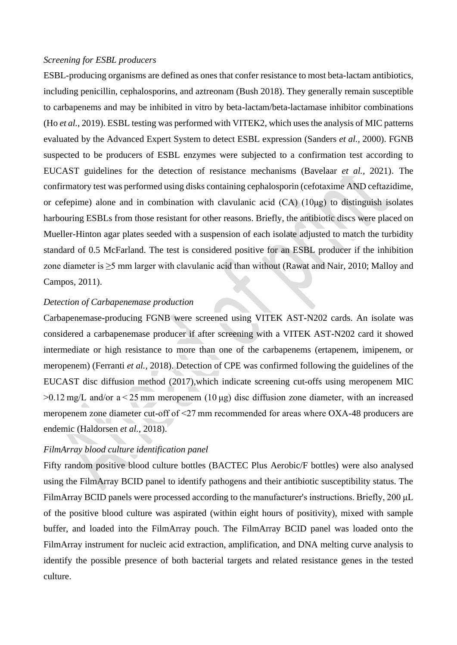#### *Screening for ESBL producers*

ESBL-producing organisms are defined as ones that confer resistance to most beta-lactam antibiotics, including penicillin, cephalosporins, and aztreonam [\(Bush 2018\)](#page-8-5). They generally remain susceptible to carbapenems and may be inhibited in vitro by beta-lactam/beta-lactamase inhibitor combinations (Ho *[et al.,](#page-9-5)* 2019). ESBL testing was performed with VITEK2, which uses the analysis of MIC patterns evaluated by the Advanced Expert System to detect ESBL expression [\(Sanders](#page-10-6) *et al.,* 2000). FGNB suspected to be producers of ESBL enzymes were subjected to a confirmation test according to EUCAST guidelines for the detection of resistance mechanisms [\(Bavelaar](#page-8-6) *et al.,* 2021). The confirmatory test was performed using disks containing cephalosporin (cefotaxime AND ceftazidime, or cefepime) alone and in combination with clavulanic acid (CA) (10μg) to distinguish isolates harbouring ESBLs from those resistant for other reasons. Briefly, the antibiotic discs were placed on Mueller-Hinton agar plates seeded with a suspension of each isolate adjusted to match the turbidity standard of 0.5 McFarland. The test is considered positive for an ESBL producer if the inhibition zone diameter is ≥5 mm larger with clavulanic acid than without [\(Rawat and Nair,](#page-10-7) 2010; [Malloy and](#page-10-3)  [Campos,](#page-10-3) 2011).

#### *Detection of Carbapenemase production*

Carbapenemase-producing FGNB were screened using VITEK AST-N202 cards. An isolate was considered a carbapenemase producer if after screening with a VITEK AST-N202 card it showed intermediate or high resistance to more than one of the carbapenems (ertapenem, imipenem, or meropenem) [\(Ferranti](#page-9-4) *et al.,* 2018). Detection of CPE was confirmed following the guidelines of the EUCAST disc diffusion method (2017),which indicate screening cut-offs using meropenem MIC  $>0.12$  mg/L and/or a $<$ 25 mm meropenem (10 µg) disc diffusion zone diameter, with an increased meropenem zone diameter cut-off of <27 mm recommended for areas where OXA-48 producers are endemic [\(Haldorsen](#page-9-6) *et al.,* 2018).

### *FilmArray blood culture identification panel*

Fifty random positive blood culture bottles (BACTEC Plus Aerobic/F bottles) were also analysed using the FilmArray BCID panel to identify pathogens and their antibiotic susceptibility status. The FilmArray BCID panels were processed according to the manufacturer's instructions. Briefly, 200 μL of the positive blood culture was aspirated (within eight hours of positivity), mixed with sample buffer, and loaded into the FilmArray pouch. The FilmArray BCID panel was loaded onto the FilmArray instrument for nucleic acid extraction, amplification, and DNA melting curve analysis to identify the possible presence of both bacterial targets and related resistance genes in the tested culture.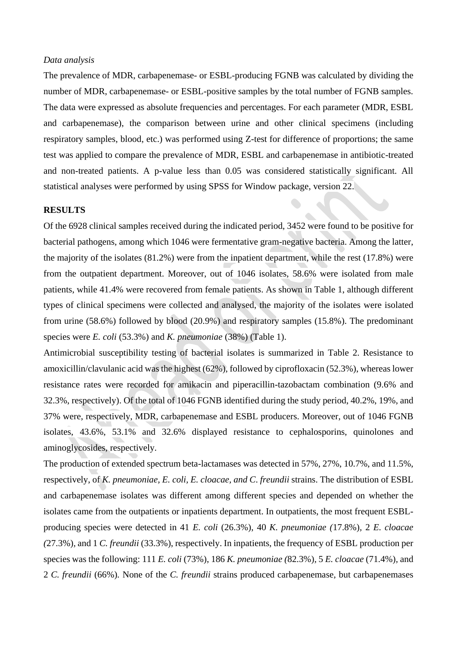#### *Data analysis*

The prevalence of MDR, carbapenemase- or ESBL-producing FGNB was calculated by dividing the number of MDR, carbapenemase- or ESBL-positive samples by the total number of FGNB samples. The data were expressed as absolute frequencies and percentages. For each parameter (MDR, ESBL and carbapenemase), the comparison between urine and other clinical specimens (including respiratory samples, blood, etc.) was performed using Z-test for difference of proportions; the same test was applied to compare the prevalence of MDR, ESBL and carbapenemase in antibiotic-treated and non-treated patients. A p-value less than 0.05 was considered statistically significant. All statistical analyses were performed by using SPSS for Window package, version 22.

#### **RESULTS**

Of the 6928 clinical samples received during the indicated period, 3452 were found to be positive for bacterial pathogens, among which 1046 were fermentative gram-negative bacteria. Among the latter, the majority of the isolates (81.2%) were from the inpatient department, while the rest (17.8%) were from the outpatient department. Moreover, out of 1046 isolates, 58.6% were isolated from male patients, while 41.4% were recovered from female patients. As shown in Table 1, although different types of clinical specimens were collected and analysed, the majority of the isolates were isolated from urine (58.6%) followed by blood (20.9%) and respiratory samples (15.8%). The predominant species were *E. coli* (53.3%) and *K. pneumoniae* (38%) (Table 1).

Antimicrobial susceptibility testing of bacterial isolates is summarized in Table 2. Resistance to amoxicillin/clavulanic acid was the highest (62%), followed by ciprofloxacin (52.3%), whereas lower resistance rates were recorded for amikacin and piperacillin-tazobactam combination (9.6% and 32.3%, respectively). Of the total of 1046 FGNB identified during the study period, 40.2%, 19%, and 37% were, respectively, MDR, carbapenemase and ESBL producers. Moreover, out of 1046 FGNB isolates, 43.6%, 53.1% and 32.6% displayed resistance to cephalosporins, quinolones and aminoglycosides, respectively.

The production of extended spectrum beta*-*lactamases was detected in 57%, 27%, 10.7%, and 11.5%, respectively, of *K. pneumoniae, E. coli, E. cloacae, and C*. *freundii* strains. The distribution of ESBL and carbapenemase isolates was different among different species and depended on whether the isolates came from the outpatients or inpatients department. In outpatients, the most frequent ESBLproducing species were detected in 41 *E. coli* (26.3%), 40 *K. pneumoniae (*17.8%)*,* 2 *E. cloacae (*27.3%)*,* and 1 *C. freundii* (33.3%), respectively. In inpatients, the frequency of ESBL production per species was the following: 111 *E. coli* (73%), 186 *K. pneumoniae (*82.3%)*,* 5 *E. cloacae* (71.4%)*,* and 2 *C. freundii* (66%)*.* None of the *C. freundii* strains produced carbapenemase, but carbapenemases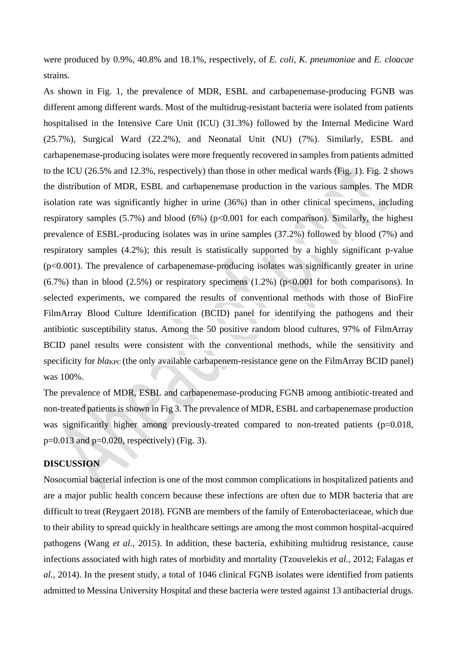were produced by 0.9%, 40.8% and 18.1%, respectively, of *E. coli, K. pneumoniae* and *E. cloacae* strains.

As shown in Fig. 1, the prevalence of MDR, ESBL and carbapenemase-producing FGNB was different among different wards. Most of the multidrug-resistant bacteria were isolated from patients hospitalised in the Intensive Care Unit (ICU) (31.3%) followed by the Internal Medicine Ward (25.7%), Surgical Ward (22.2%), and Neonatal Unit (NU) (7%). Similarly, ESBL and carbapenemase-producing isolates were more frequently recovered in samples from patients admitted to the ICU (26.5% and 12.3%, respectively) than those in other medical wards (Fig. 1). Fig. 2 shows the distribution of MDR, ESBL and carbapenemase production in the various samples. The MDR isolation rate was significantly higher in urine (36%) than in other clinical specimens, including respiratory samples  $(5.7%)$  and blood  $(6%)$  (p<0.001 for each comparison). Similarly, the highest prevalence of ESBL-producing isolates was in urine samples (37.2%) followed by blood (7%) and respiratory samples (4.2%); this result is statistically supported by a highly significant p-value  $(p<0.001)$ . The prevalence of carbapenemase-producing isolates was significantly greater in urine  $(6.7\%)$  than in blood  $(2.5\%)$  or respiratory specimens  $(1.2\%)$  (p<0.001 for both comparisons). In selected experiments, we compared the results of conventional methods with those of BioFire FilmArray Blood Culture Identification (BCID) panel for identifying the pathogens and their antibiotic susceptibility status. Among the 50 positive random blood cultures, 97% of FilmArray BCID panel results were consistent with the conventional methods, while the sensitivity and specificity for *blake* (the only available carbapenem-resistance gene on the FilmArray BCID panel) was 100%.

The prevalence of MDR, ESBL and carbapenemase-producing FGNB among antibiotic-treated and non-treated patients is shown in Fig 3. The prevalence of MDR, ESBL and carbapenemase production was significantly higher among previously-treated compared to non-treated patients (p=0.018,  $p=0.013$  and  $p=0.020$ , respectively) (Fig. 3).

# **DISCUSSION**

Nosocomial bacterial infection is one of the most common complications in hospitalized patients and are a major public health concern because these infections are often due to MDR bacteria that are difficult to treat [\(Reygaert 2018\)](#page-10-4). FGNB are members of the family of Enterobacteriaceae, which due to their ability to spread quickly in healthcare settings are among the most common hospital-acquired pathogens (Wang *[et al.,](#page-11-3)* 2015). In addition, these bacteria, exhibiting multidrug resistance, cause infections associated with high rates of morbidity and mortality [\(Tzouvelekis](#page-11-2) *et al.,* 2012; [Falagas](#page-9-7) *et al.,* [2014\)](#page-9-7). In the present study, a total of 1046 clinical FGNB isolates were identified from patients admitted to Messina University Hospital and these bacteria were tested against 13 antibacterial drugs.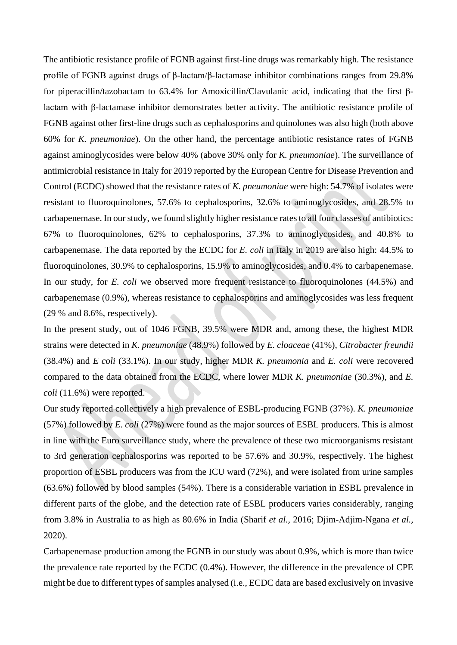The antibiotic resistance profile of FGNB against first-line drugs was remarkably high. The resistance profile of FGNB against drugs of β-lactam/β-lactamase inhibitor combinations ranges from 29.8% for piperacillin/tazobactam to 63.4% for Amoxicillin/Clavulanic acid, indicating that the first βlactam with β-lactamase inhibitor demonstrates better activity. The antibiotic resistance profile of FGNB against other first-line drugs such as cephalosporins and quinolones was also high (both above 60% for *K. pneumoniae*). On the other hand, the percentage antibiotic resistance rates of FGNB against aminoglycosides were below 40% (above 30% only for *K. pneumoniae*). The surveillance of antimicrobial resistance in Italy for 2019 reported by the European Centre for Disease Prevention and Control (ECDC) showed that the resistance rates of *K. pneumoniae* were high: 54.7% of isolates were resistant to fluoroquinolones, 57.6% to cephalosporins, 32.6% to aminoglycosides, and 28.5% to carbapenemase. In our study, we found slightly higher resistance rates to all four classes of antibiotics: 67% to fluoroquinolones, 62% to cephalosporins, 37.3% to aminoglycosides, and 40.8% to carbapenemase. The data reported by the ECDC for *E. coli* in Italy in 2019 are also high: 44.5% to fluoroquinolones, 30.9% to cephalosporins, 15.9% to aminoglycosides, and 0.4% to carbapenemase. In our study, for *E. coli* we observed more frequent resistance to fluoroquinolones (44.5%) and carbapenemase (0.9%), whereas resistance to cephalosporins and aminoglycosides was less frequent (29 % and 8.6%, respectively).

In the present study, out of 1046 FGNB, 39.5% were MDR and, among these, the highest MDR strains were detected in *K. pneumoniae* (48.9%) followed by *E. cloaceae* (41%), *Citrobacter freundii* (38.4%) and *E coli* (33.1%). In our study, higher MDR *K. pneumonia* and *E. coli* were recovered compared to the data obtained from the ECDC, where lower MDR *K. pneumoniae* (30.3%), and *E. coli* (11.6%) were reported.

Our study reported collectively a high prevalence of ESBL-producing FGNB (37%). *K. pneumoniae* (57%) followed by *E. coli* (27%) were found as the major sources of ESBL producers. This is almost in line with the Euro surveillance study, where the prevalence of these two microorganisms resistant to 3rd generation cephalosporins was reported to be 57.6% and 30.9%, respectively. The highest proportion of ESBL producers was from the ICU ward (72%), and were isolated from urine samples (63.6%) followed by blood samples (54%). There is a considerable variation in ESBL prevalence in different parts of the globe, and the detection rate of ESBL producers varies considerably, ranging from 3.8% in Australia to as high as 80.6% in India [\(Sharif](#page-10-8) *et al.,* 2016; [Djim-Adjim-Ngana](#page-8-7) *et al.,*  [2020\)](#page-8-7).

Carbapenemase production among the FGNB in our study was about 0.9%, which is more than twice the prevalence rate reported by the ECDC (0.4%). However, the difference in the prevalence of CPE might be due to different types of samples analysed (i.e., ECDC data are based exclusively on invasive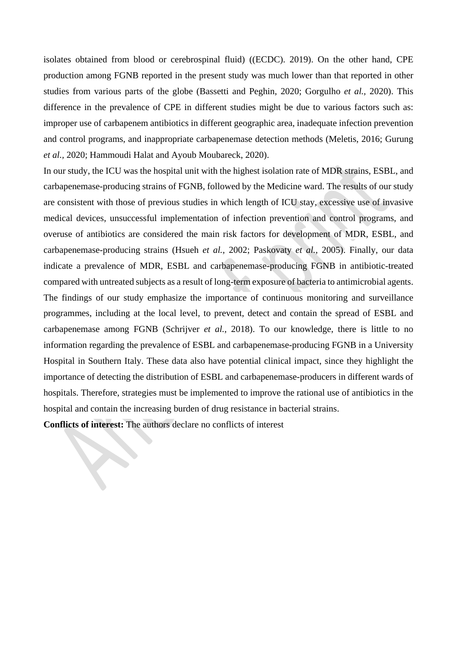isolates obtained from blood or cerebrospinal fluid) [\(\(ECDC\). 2019\)](#page-8-8). On the other hand, CPE production among FGNB reported in the present study was much lower than that reported in other studies from various parts of the globe [\(Bassetti and Peghin,](#page-8-9) 2020; [Gorgulho](#page-9-8) *et al.,* 2020). This difference in the prevalence of CPE in different studies might be due to various factors such as: improper use of carbapenem antibiotics in different geographic area, inadequate infection prevention and control programs, and inappropriate carbapenemase detection methods [\(Meletis,](#page-10-9) 2016; [Gurung](#page-9-9) *[et al.,](#page-9-9)* 2020; [Hammoudi Halat and Ayoub Moubareck,](#page-9-10) 2020).

In our study, the ICU was the hospital unit with the highest isolation rate of MDR strains, ESBL, and carbapenemase-producing strains of FGNB, followed by the Medicine ward. The results of our study are consistent with those of previous studies in which length of ICU stay, excessive use of invasive medical devices, unsuccessful implementation of infection prevention and control programs, and overuse of antibiotics are considered the main risk factors for development of MDR, ESBL, and carbapenemase-producing strains [\(Hsueh](#page-9-11) *et al.,* 2002; [Paskovaty](#page-10-10) *et al.,* 2005). Finally, our data indicate a prevalence of MDR, ESBL and carbapenemase-producing FGNB in antibiotic-treated compared with untreated subjects as a result of long-term exposure of bacteria to antimicrobial agents. The findings of our study emphasize the importance of continuous monitoring and surveillance programmes, including at the local level, to prevent, detect and contain the spread of ESBL and carbapenemase among FGNB [\(Schrijver](#page-10-11) *et al.,* 2018). To our knowledge, there is little to no information regarding the prevalence of ESBL and carbapenemase-producing FGNB in a University Hospital in Southern Italy. These data also have potential clinical impact, since they highlight the importance of detecting the distribution of ESBL and carbapenemase-producers in different wards of hospitals. Therefore, strategies must be implemented to improve the rational use of antibiotics in the hospital and contain the increasing burden of drug resistance in bacterial strains.

**Conflicts of interest:** The authors declare no conflicts of interest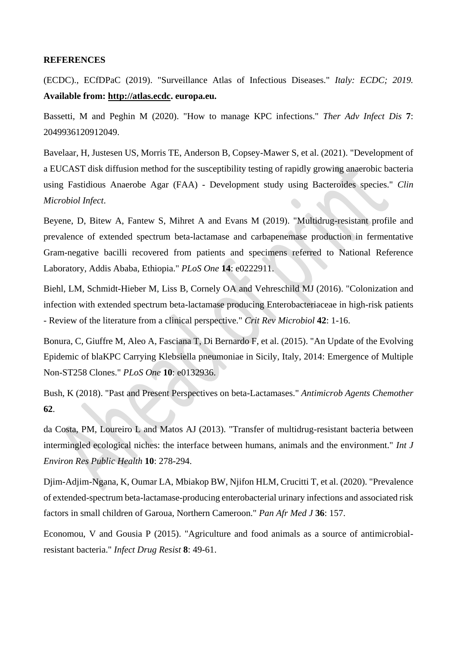#### **REFERENCES**

<span id="page-8-8"></span>(ECDC)., ECfDPaC (2019). "Surveillance Atlas of Infectious Diseases." *Italy: ECDC; 2019.* **Available from: [http://atlas.ecdc.](http://atlas.ecdc/) europa.eu.**

<span id="page-8-9"></span>Bassetti, M and Peghin M (2020). "How to manage KPC infections." *Ther Adv Infect Dis* **7**: 2049936120912049.

<span id="page-8-6"></span>Bavelaar, H, Justesen US, Morris TE, Anderson B, Copsey-Mawer S, et al. (2021). "Development of a EUCAST disk diffusion method for the susceptibility testing of rapidly growing anaerobic bacteria using Fastidious Anaerobe Agar (FAA) - Development study using Bacteroides species." *Clin Microbiol Infect*.

<span id="page-8-3"></span>Beyene, D, Bitew A, Fantew S, Mihret A and Evans M (2019). "Multidrug-resistant profile and prevalence of extended spectrum beta-lactamase and carbapenemase production in fermentative Gram-negative bacilli recovered from patients and specimens referred to National Reference Laboratory, Addis Ababa, Ethiopia." *PLoS One* **14**: e0222911.

<span id="page-8-0"></span>Biehl, LM, Schmidt-Hieber M, Liss B, Cornely OA and Vehreschild MJ (2016). "Colonization and infection with extended spectrum beta-lactamase producing Enterobacteriaceae in high-risk patients - Review of the literature from a clinical perspective." *Crit Rev Microbiol* **42**: 1-16.

<span id="page-8-4"></span>Bonura, C, Giuffre M, Aleo A, Fasciana T, Di Bernardo F, et al. (2015). "An Update of the Evolving Epidemic of blaKPC Carrying Klebsiella pneumoniae in Sicily, Italy, 2014: Emergence of Multiple Non-ST258 Clones." *PLoS One* **10**: e0132936.

<span id="page-8-5"></span>Bush, K (2018). "Past and Present Perspectives on beta-Lactamases." *Antimicrob Agents Chemother* **62**.

<span id="page-8-1"></span>da Costa, PM, Loureiro L and Matos AJ (2013). "Transfer of multidrug-resistant bacteria between intermingled ecological niches: the interface between humans, animals and the environment." *Int J Environ Res Public Health* **10**: 278-294.

<span id="page-8-7"></span>Djim-Adjim-Ngana, K, Oumar LA, Mbiakop BW, Njifon HLM, Crucitti T, et al. (2020). "Prevalence of extended-spectrum beta-lactamase-producing enterobacterial urinary infections and associated risk factors in small children of Garoua, Northern Cameroon." *Pan Afr Med J* **36**: 157.

<span id="page-8-2"></span>Economou, V and Gousia P (2015). "Agriculture and food animals as a source of antimicrobialresistant bacteria." *Infect Drug Resist* **8**: 49-61.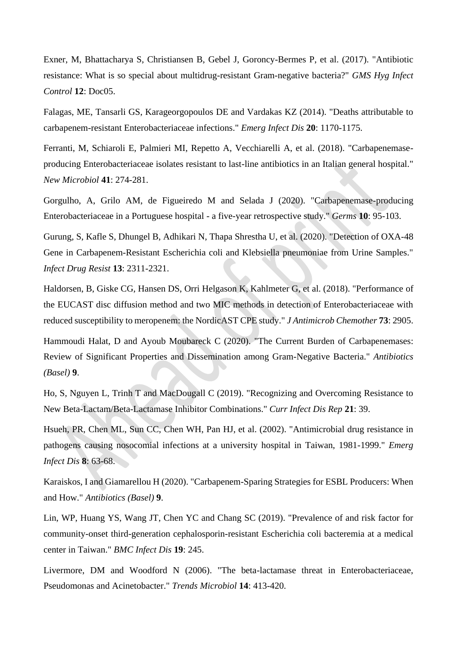<span id="page-9-0"></span>Exner, M, Bhattacharya S, Christiansen B, Gebel J, Goroncy-Bermes P, et al. (2017). "Antibiotic resistance: What is so special about multidrug-resistant Gram-negative bacteria?" *GMS Hyg Infect Control* **12**: Doc05.

<span id="page-9-7"></span>Falagas, ME, Tansarli GS, Karageorgopoulos DE and Vardakas KZ (2014). "Deaths attributable to carbapenem-resistant Enterobacteriaceae infections." *Emerg Infect Dis* **20**: 1170-1175.

<span id="page-9-4"></span>Ferranti, M, Schiaroli E, Palmieri MI, Repetto A, Vecchiarelli A, et al. (2018). "Carbapenemaseproducing Enterobacteriaceae isolates resistant to last-line antibiotics in an Italian general hospital." *New Microbiol* **41**: 274-281.

<span id="page-9-8"></span>Gorgulho, A, Grilo AM, de Figueiredo M and Selada J (2020). "Carbapenemase-producing Enterobacteriaceae in a Portuguese hospital - a five-year retrospective study." *Germs* **10**: 95-103.

<span id="page-9-9"></span>Gurung, S, Kafle S, Dhungel B, Adhikari N, Thapa Shrestha U, et al. (2020). "Detection of OXA-48 Gene in Carbapenem-Resistant Escherichia coli and Klebsiella pneumoniae from Urine Samples." *Infect Drug Resist* **13**: 2311-2321.

<span id="page-9-6"></span>Haldorsen, B, Giske CG, Hansen DS, Orri Helgason K, Kahlmeter G, et al. (2018). "Performance of the EUCAST disc diffusion method and two MIC methods in detection of Enterobacteriaceae with reduced susceptibility to meropenem: the NordicAST CPE study." *J Antimicrob Chemother* **73**: 2905.

<span id="page-9-10"></span>Hammoudi Halat, D and Ayoub Moubareck C (2020). "The Current Burden of Carbapenemases: Review of Significant Properties and Dissemination among Gram-Negative Bacteria." *Antibiotics (Basel)* **9**.

<span id="page-9-5"></span>Ho, S, Nguyen L, Trinh T and MacDougall C (2019). "Recognizing and Overcoming Resistance to New Beta-Lactam/Beta-Lactamase Inhibitor Combinations." *Curr Infect Dis Rep* **21**: 39.

<span id="page-9-11"></span>Hsueh, PR, Chen ML, Sun CC, Chen WH, Pan HJ, et al. (2002). "Antimicrobial drug resistance in pathogens causing nosocomial infections at a university hospital in Taiwan, 1981-1999." *Emerg Infect Dis* **8**: 63-68.

<span id="page-9-3"></span>Karaiskos, I and Giamarellou H (2020). "Carbapenem-Sparing Strategies for ESBL Producers: When and How." *Antibiotics (Basel)* **9**.

<span id="page-9-2"></span>Lin, WP, Huang YS, Wang JT, Chen YC and Chang SC (2019). "Prevalence of and risk factor for community-onset third-generation cephalosporin-resistant Escherichia coli bacteremia at a medical center in Taiwan." *BMC Infect Dis* **19**: 245.

<span id="page-9-1"></span>Livermore, DM and Woodford N (2006). "The beta-lactamase threat in Enterobacteriaceae, Pseudomonas and Acinetobacter." *Trends Microbiol* **14**: 413-420.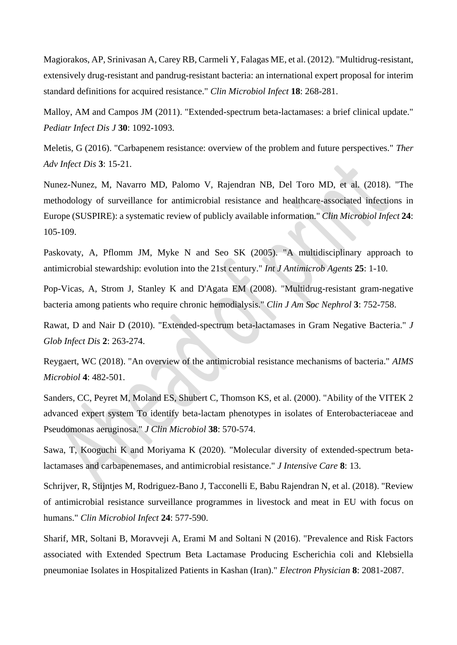<span id="page-10-2"></span>Magiorakos, AP, Srinivasan A, Carey RB, Carmeli Y, Falagas ME, et al. (2012). "Multidrug-resistant, extensively drug-resistant and pandrug-resistant bacteria: an international expert proposal for interim standard definitions for acquired resistance." *Clin Microbiol Infect* **18**: 268-281.

<span id="page-10-3"></span>Malloy, AM and Campos JM (2011). "Extended-spectrum beta-lactamases: a brief clinical update." *Pediatr Infect Dis J* **30**: 1092-1093.

<span id="page-10-9"></span>Meletis, G (2016). "Carbapenem resistance: overview of the problem and future perspectives." *Ther Adv Infect Dis* **3**: 15-21.

<span id="page-10-0"></span>Nunez-Nunez, M, Navarro MD, Palomo V, Rajendran NB, Del Toro MD, et al. (2018). "The methodology of surveillance for antimicrobial resistance and healthcare-associated infections in Europe (SUSPIRE): a systematic review of publicly available information." *Clin Microbiol Infect* **24**: 105-109.

<span id="page-10-10"></span>Paskovaty, A, Pflomm JM, Myke N and Seo SK (2005). "A multidisciplinary approach to antimicrobial stewardship: evolution into the 21st century." *Int J Antimicrob Agents* **25**: 1-10.

<span id="page-10-5"></span>Pop-Vicas, A, Strom J, Stanley K and D'Agata EM (2008). "Multidrug-resistant gram-negative bacteria among patients who require chronic hemodialysis." *Clin J Am Soc Nephrol* **3**: 752-758.

<span id="page-10-7"></span>Rawat, D and Nair D (2010). "Extended-spectrum beta-lactamases in Gram Negative Bacteria." *J Glob Infect Dis* **2**: 263-274.

<span id="page-10-4"></span>Reygaert, WC (2018). "An overview of the antimicrobial resistance mechanisms of bacteria." *AIMS Microbiol* **4**: 482-501.

<span id="page-10-6"></span>Sanders, CC, Peyret M, Moland ES, Shubert C, Thomson KS, et al. (2000). "Ability of the VITEK 2 advanced expert system To identify beta-lactam phenotypes in isolates of Enterobacteriaceae and Pseudomonas aeruginosa." *J Clin Microbiol* **38**: 570-574.

<span id="page-10-1"></span>Sawa, T, Kooguchi K and Moriyama K (2020). "Molecular diversity of extended-spectrum betalactamases and carbapenemases, and antimicrobial resistance." *J Intensive Care* **8**: 13.

<span id="page-10-11"></span>Schrijver, R, Stijntjes M, Rodriguez-Bano J, Tacconelli E, Babu Rajendran N, et al. (2018). "Review of antimicrobial resistance surveillance programmes in livestock and meat in EU with focus on humans." *Clin Microbiol Infect* **24**: 577-590.

<span id="page-10-8"></span>Sharif, MR, Soltani B, Moravveji A, Erami M and Soltani N (2016). "Prevalence and Risk Factors associated with Extended Spectrum Beta Lactamase Producing Escherichia coli and Klebsiella pneumoniae Isolates in Hospitalized Patients in Kashan (Iran)." *Electron Physician* **8**: 2081-2087.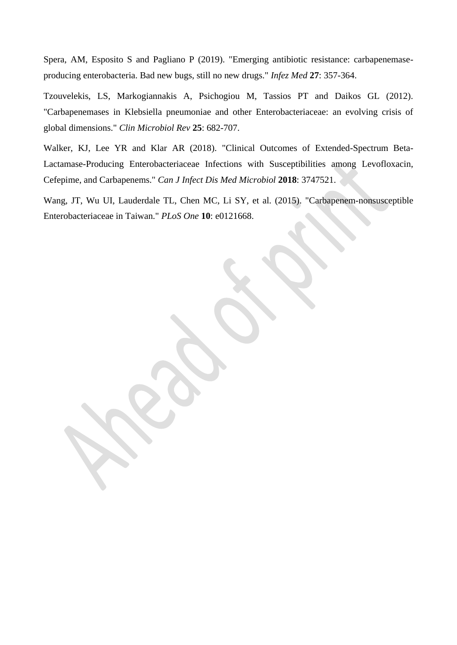<span id="page-11-0"></span>Spera, AM, Esposito S and Pagliano P (2019). "Emerging antibiotic resistance: carbapenemaseproducing enterobacteria. Bad new bugs, still no new drugs." *Infez Med* **27**: 357-364.

<span id="page-11-2"></span>Tzouvelekis, LS, Markogiannakis A, Psichogiou M, Tassios PT and Daikos GL (2012). "Carbapenemases in Klebsiella pneumoniae and other Enterobacteriaceae: an evolving crisis of global dimensions." *Clin Microbiol Rev* **25**: 682-707.

<span id="page-11-1"></span>Walker, KJ, Lee YR and Klar AR (2018). "Clinical Outcomes of Extended-Spectrum Beta-Lactamase-Producing Enterobacteriaceae Infections with Susceptibilities among Levofloxacin, Cefepime, and Carbapenems." *Can J Infect Dis Med Microbiol* **2018**: 3747521.

<span id="page-11-3"></span>Wang, JT, Wu UI, Lauderdale TL, Chen MC, Li SY, et al. (2015). "Carbapenem-nonsusceptible Enterobacteriaceae in Taiwan." *PLoS One* **10**: e0121668.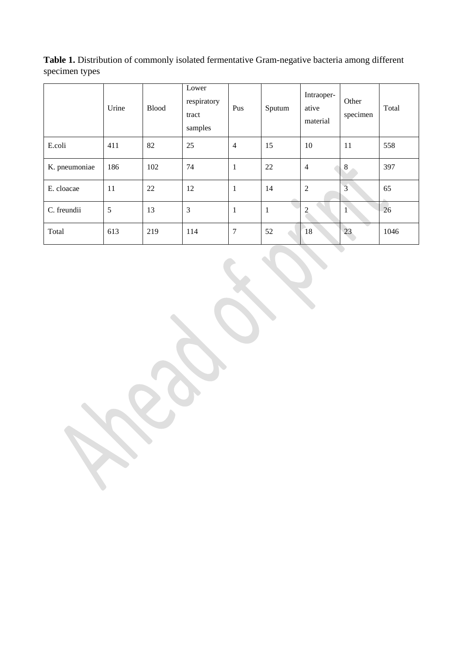**Table 1.** Distribution of commonly isolated fermentative Gram-negative bacteria among different specimen types

|               | Urine | <b>Blood</b> | Lower<br>respiratory<br>tract<br>samples | Pus            | Sputum       | Intraoper-<br>ative<br>material | Other<br>specimen | Total |
|---------------|-------|--------------|------------------------------------------|----------------|--------------|---------------------------------|-------------------|-------|
| E.coli        | 411   | 82           | 25                                       | $\overline{4}$ | 15           | 10                              | 11                | 558   |
| K. pneumoniae | 186   | 102          | 74                                       | $\mathbf{1}$   | 22           | $\overline{4}$                  | $\mathbf{R}$      | 397   |
| E. cloacae    | 11    | 22           | 12                                       | $\mathbf{1}$   | 14           | $\boldsymbol{2}$                | $\overline{3}$    | 65    |
| C. freundii   | 5     | 13           | 3                                        | $\mathbf{1}$   | $\mathbf{1}$ | $\overline{2}$                  | $\mathbf{1}$      | 26    |
| Total         | 613   | 219          | 114                                      | $\tau$         | 52           | 18                              | 23                | 1046  |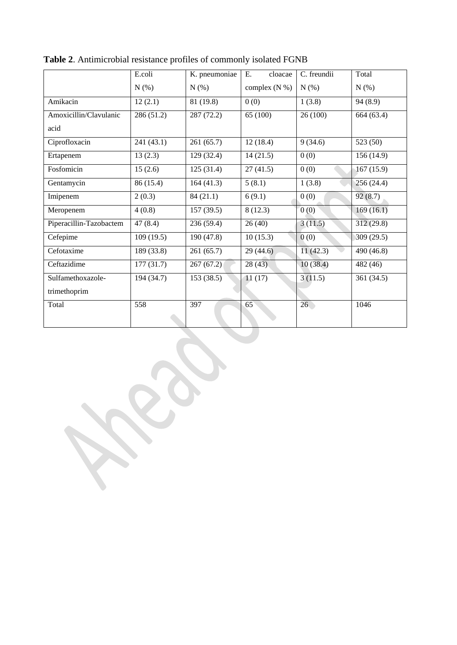|                         | E.coli     | K. pneumoniae | Е.<br>cloacae   | C. freundii     | Total      |
|-------------------------|------------|---------------|-----------------|-----------------|------------|
|                         | N(%)       | N(%)          | complex $(N %)$ | $N(\%)$         | N(%)       |
| Amikacin                | 12(2.1)    | 81 (19.8)     | 0(0)            | 1(3.8)          | 94 (8.9)   |
| Amoxicillin/Clavulanic  | 286 (51.2) | 287 (72.2)    | 65 (100)        | 26(100)         | 664 (63.4) |
| acid                    |            |               |                 |                 |            |
| Ciprofloxacin           | 241 (43.1) | 261(65.7)     | 12(18.4)        | 9(34.6)         | 523 (50)   |
| Ertapenem               | 13(2.3)    | 129 (32.4)    | 14(21.5)        | 0(0)            | 156(14.9)  |
| Fosfomicin              | 15(2.6)    | 125(31.4)     | 27(41.5)        | 0(0)            | 167(15.9)  |
| Gentamycin              | 86 (15.4)  | 164(41.3)     | 5(8.1)          | 1(3.8)          | 256 (24.4) |
| Imipenem                | 2(0.3)     | 84(21.1)      | 6(9.1)          | 0(0)            | 92(8.7)    |
| Meropenem               | 4(0.8)     | 157(39.5)     | 8(12.3)         | 0(0)            | 169(16.1)  |
| Piperacillin-Tazobactem | 47(8.4)    | 236(59.4)     | 26(40)          | 3(11.5)         | 312(29.8)  |
| Cefepime                | 109(19.5)  | 190 (47.8)    | 10(15.3)        | 0(0)            | 309 (29.5) |
| Cefotaxime              | 189 (33.8) | 261(65.7)     | 29(44.6)        | 11(42.3)        | 490 (46.8) |
| Ceftazidime             | 177(31.7)  | 267(67.2)     | 28(43)          | 10(38.4)        | 482 (46)   |
| Sulfamethoxazole-       | 194 (34.7) | 153 (38.5)    | 11(17)          | 3(11.5)         | 361 (34.5) |
| trimethoprim            |            |               |                 |                 |            |
| Total                   | 558        | 397           | 65              | 26 <sup>2</sup> | 1046       |
|                         |            |               |                 |                 |            |

**Table 2**. Antimicrobial resistance profiles of commonly isolated FGNB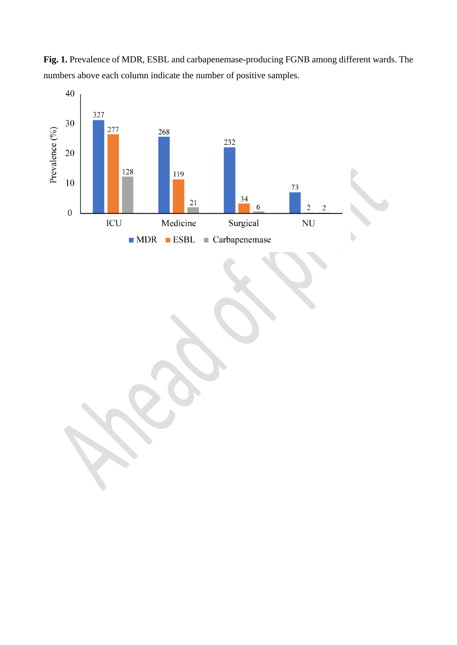

**Fig. 1.** Prevalence of MDR, ESBL and carbapenemase-producing FGNB among different wards. The numbers above each column indicate the number of positive samples.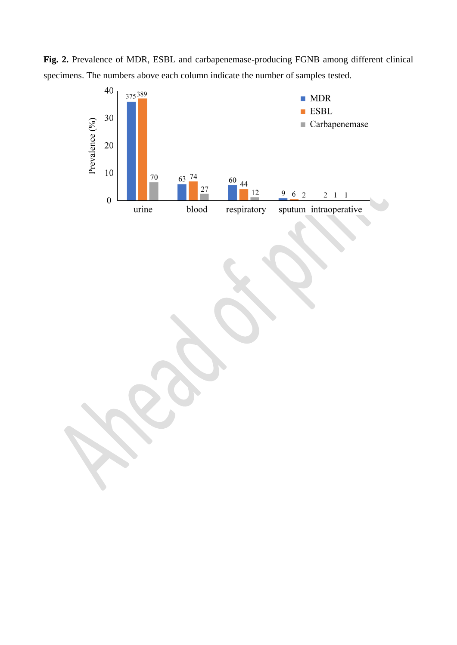